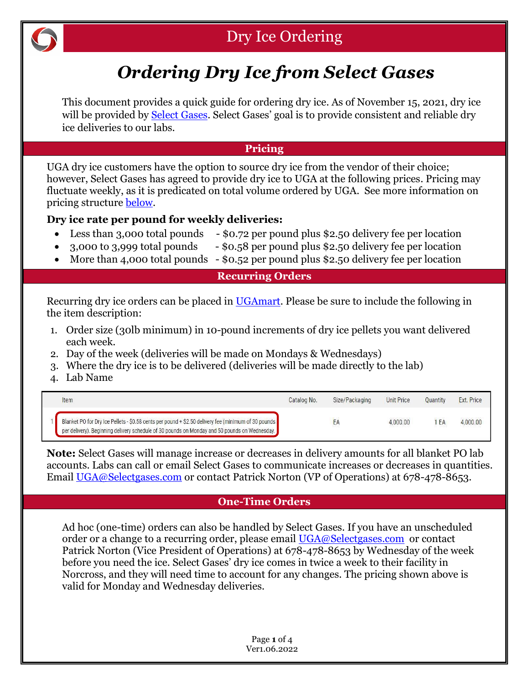

# Dry Ice Ordering

# *Ordering Dry Ice from Select Gases*

This document provides a quick guide for ordering dry ice. As of November 15, 2021, dry ice will be provided by [Select Gases.](https://www.selectgases.com/) Select Gases' goal is to provide consistent and reliable dry ice deliveries to our labs.

#### **Pricing**

UGA dry ice customers have the option to source dry ice from the vendor of their choice; however, Select Gases has agreed to provide dry ice to UGA at the following prices. Pricing may fluctuate weekly, as it is predicated on total volume ordered by UGA. See more information on pricing structure [below.](#page-3-0)

# **Dry ice rate per pound for weekly deliveries:**

- Less than 3,000 total pounds \$0.72 per pound plus \$2.50 delivery fee per location
- 3,000 to 3,999 total pounds \$0.58 per pound plus \$2.50 delivery fee per location
- More than 4,000 total pounds \$0.52 per pound plus \$2.50 delivery fee per location

#### **Recurring Orders**

Recurring dry ice orders can be placed in [UGAmart.](https://ugamart.uga.edu/) Please be sure to include the following in the item description:

- 1. Order size (30lb minimum) in 10-pound increments of dry ice pellets you want delivered each week.
- 2. Day of the week (deliveries will be made on Mondays & Wednesdays)
- 3. Where the dry ice is to be delivered (deliveries will be made directly to the lab)
- 4. Lab Name

| Item                                                                                                                                                                                                  | Catalog No. | Size/Packaging | <b>Unit Price</b> | <b>Quantity</b> | Ext. Price |
|-------------------------------------------------------------------------------------------------------------------------------------------------------------------------------------------------------|-------------|----------------|-------------------|-----------------|------------|
| Blanket PO for Dry Ice Pellets - \$0.58 cents per pound + \$2.50 delivery fee (minimum of 30 pounds.<br>per delivery). Beginning delivery schedule of 30 pounds on Monday and 50 pounds on Wednesday. |             | ΈA             | 4.000.00          | 'EA             | 4,000.00   |

**Note:** Select Gases will manage increase or decreases in delivery amounts for all blanket PO lab accounts. Labs can call or email Select Gases to communicate increases or decreases in quantities. Email [UGA@Selectgases.com](mailto:UGA@Selectgases.com) or contact Patrick Norton (VP of Operations) at 678-478-8653.

# **One-Time Orders**

Ad hoc (one-time) orders can also be handled by Select Gases. If you have an unscheduled order or a change to a recurring order, please email [UGA@Selectgases.com](mailto:UGA@Selectgases.com) or contact Patrick Norton (Vice President of Operations) at 678-478-8653 by Wednesday of the week before you need the ice. Select Gases' dry ice comes in twice a week to their facility in Norcross, and they will need time to account for any changes. The pricing shown above is valid for Monday and Wednesday deliveries.

> Page **1** of 4 Ver1.06.2022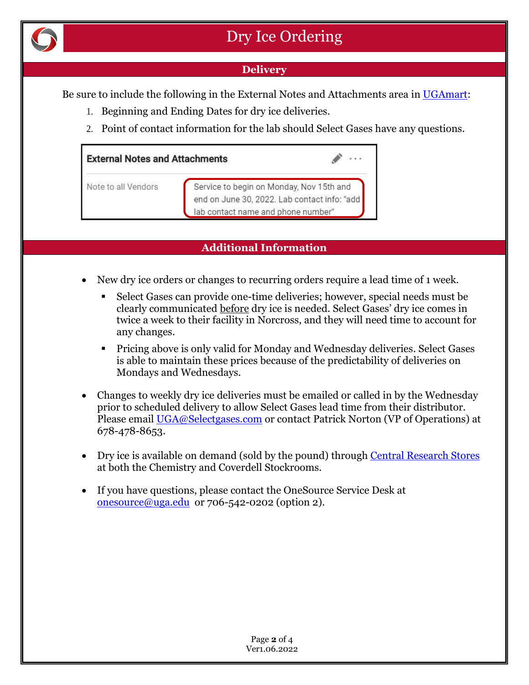

### **Delivery**

Be sure to include the following in the External Notes and Attachments area in [UGAmart:](https://ugamart.uga.edu/)

- 1. Beginning and Ending Dates for dry ice deliveries.
- 2. Point of contact information for the lab should Select Gases have any questions.

| <b>External Notes and Attachments</b> |                                                                                                                                |  |  |  |  |  |
|---------------------------------------|--------------------------------------------------------------------------------------------------------------------------------|--|--|--|--|--|
| Note to all Vendors                   | Service to begin on Monday, Nov 15th and<br>end on June 30, 2022. Lab contact info: "add<br>lab contact name and phone number" |  |  |  |  |  |

#### **Additional Information**

- New dry ice orders or changes to recurring orders require a lead time of 1 week.
	- Select Gases can provide one-time deliveries; however, special needs must be clearly communicated before dry ice is needed. Select Gases' dry ice comes in twice a week to their facility in Norcross, and they will need time to account for any changes.
	- Pricing above is only valid for Monday and Wednesday deliveries. Select Gases is able to maintain these prices because of the predictability of deliveries on Mondays and Wednesdays.
- Changes to weekly dry ice deliveries must be emailed or called in by the Wednesday prior to scheduled delivery to allow Select Gases lead time from their distributor. Please email [UGA@Selectgases.com](mailto:UGA@Selectgases.com) or contact Patrick Norton (VP of Operations) at 678-478-8653.
- Dry ice is available on demand (sold by the pound) throug[h Central Research Stores](https://research.uga.edu/orss/research-stores/) at both the Chemistry and Coverdell Stockrooms.
- If you have questions, please contact the OneSource Service Desk at  $onesource@uga.edu$  or 706-542-0202 (option 2).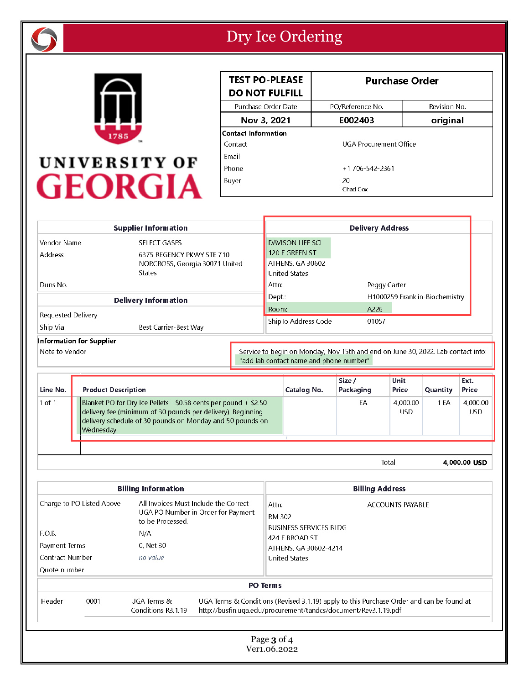



| <b>TEST PO-PLEASE</b><br><b>DO NOT FULFILL</b> | <b>Purchase Order</b>  |              |  |  |
|------------------------------------------------|------------------------|--------------|--|--|
| Purchase Order Date                            | PO/Reference No.       | Revision No. |  |  |
| Nov 3, 2021                                    | E002403                | original     |  |  |
| <b>Contact Information</b>                     |                        |              |  |  |
| Contact                                        | UGA Procurement Office |              |  |  |
| Fmail                                          |                        |              |  |  |
| Phone                                          | +1706-542-2361         |              |  |  |
| Buyer                                          | 20<br>Chad Cox         |              |  |  |

|                                                                                                                                               | <b>Supplier Information</b>    | <b>Delivery Address</b> |                      |              |                                |
|-----------------------------------------------------------------------------------------------------------------------------------------------|--------------------------------|-------------------------|----------------------|--------------|--------------------------------|
| Vendor Name                                                                                                                                   | <b>SELECT GASES</b>            |                         | DAVISON LIFE SCI     |              |                                |
| Address                                                                                                                                       | 6375 REGENCY PKWY STE 710      |                         | 120 E GREEN ST       |              |                                |
|                                                                                                                                               | NORCROSS, Georgia 30071 United |                         | ATHENS, GA 30602     |              |                                |
|                                                                                                                                               | <b>States</b>                  |                         | <b>United States</b> |              |                                |
| Duns No.                                                                                                                                      |                                |                         | Attn:                | Peggy Carter |                                |
| <b>Delivery Information</b>                                                                                                                   |                                |                         | Dept.:               |              | H1000259 Franklin-Biochemistry |
|                                                                                                                                               |                                |                         | Room:                | A226         |                                |
| Requested Delivery                                                                                                                            |                                |                         | ShipTo Address Code  | 01057        |                                |
| Ship Via<br>Best Carrier-Best Way                                                                                                             |                                |                         |                      |              |                                |
| <b>Information for Supplier</b>                                                                                                               |                                |                         |                      |              |                                |
| Note to Vendor<br>Service to begin on Monday, Nov 15th and end on June 30, 2022. Lab contact info:<br>"add lab contact name and phone number" |                                |                         |                      |              |                                |

| Line No.   | <b>Product Description</b>                                                                                                                                                                                 | Catalog No. | Size /<br>Packaging | <b>Unit</b><br>Price | <b>Quantity</b> | Ext.<br>Price          |
|------------|------------------------------------------------------------------------------------------------------------------------------------------------------------------------------------------------------------|-------------|---------------------|----------------------|-----------------|------------------------|
| $1$ of $1$ | Blanket PO for Dry Ice Pellets - \$0.58 cents per pound + \$2.50<br>delivery fee (minimum of 30 pounds per delivery). Beginning<br>delivery schedule of 30 pounds on Monday and 50 pounds on<br>Wednesday. |             | EA                  | 4.000.00<br>USD      | 1 EA            | 4,000.00<br><b>USD</b> |
|            |                                                                                                                                                                                                            |             |                     | Total                |                 | 4.000.00 USD           |

4,000.00 USD

| <b>Billing Information</b>       |                                           |                                                                                                 |                      | <b>Billing Address</b>                                                                                                                                      |  |  |  |  |
|----------------------------------|-------------------------------------------|-------------------------------------------------------------------------------------------------|----------------------|-------------------------------------------------------------------------------------------------------------------------------------------------------------|--|--|--|--|
|                                  | Charge to PO Listed Above                 | All Invoices Must Include the Correct<br>UGA PO Number in Order for Payment<br>to be Processed. |                      | Attn:<br>ACCOUNTS PAYABLE<br>RM 302<br><b>BUSINESS SERVICES BLDG</b><br>424 E BROAD ST                                                                      |  |  |  |  |
| F.O.B.                           |                                           | N/A                                                                                             |                      |                                                                                                                                                             |  |  |  |  |
| Payment Terms<br>Contract Number |                                           | 0, Net 30                                                                                       |                      | ATHENS, GA 30602-4214                                                                                                                                       |  |  |  |  |
|                                  |                                           | no value                                                                                        | <b>United States</b> |                                                                                                                                                             |  |  |  |  |
| Quote number                     |                                           |                                                                                                 |                      |                                                                                                                                                             |  |  |  |  |
|                                  |                                           |                                                                                                 |                      | <b>PO Terms</b>                                                                                                                                             |  |  |  |  |
| Header                           | 0001<br>UGA Terms &<br>Conditions R3.1.19 |                                                                                                 |                      | UGA Terms & Conditions (Revised 3.1.19) apply to this Purchase Order and can be found at<br>http://busfin.uga.edu/procurement/tandcs/document/Rev3.1.19.pdf |  |  |  |  |
|                                  |                                           |                                                                                                 |                      | Page 3 of 4<br>Ver1.06.2022                                                                                                                                 |  |  |  |  |